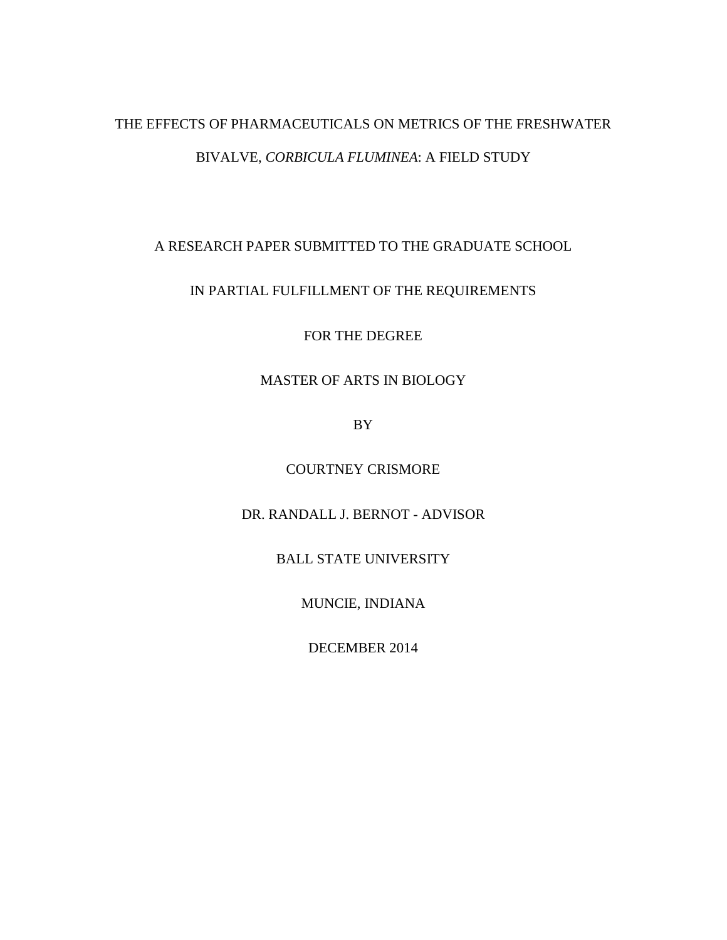# THE EFFECTS OF PHARMACEUTICALS ON METRICS OF THE FRESHWATER BIVALVE, *CORBICULA FLUMINEA*: A FIELD STUDY

A RESEARCH PAPER SUBMITTED TO THE GRADUATE SCHOOL

# IN PARTIAL FULFILLMENT OF THE REQUIREMENTS

FOR THE DEGREE

# MASTER OF ARTS IN BIOLOGY

BY

COURTNEY CRISMORE

DR. RANDALL J. BERNOT - ADVISOR

BALL STATE UNIVERSITY

MUNCIE, INDIANA

DECEMBER 2014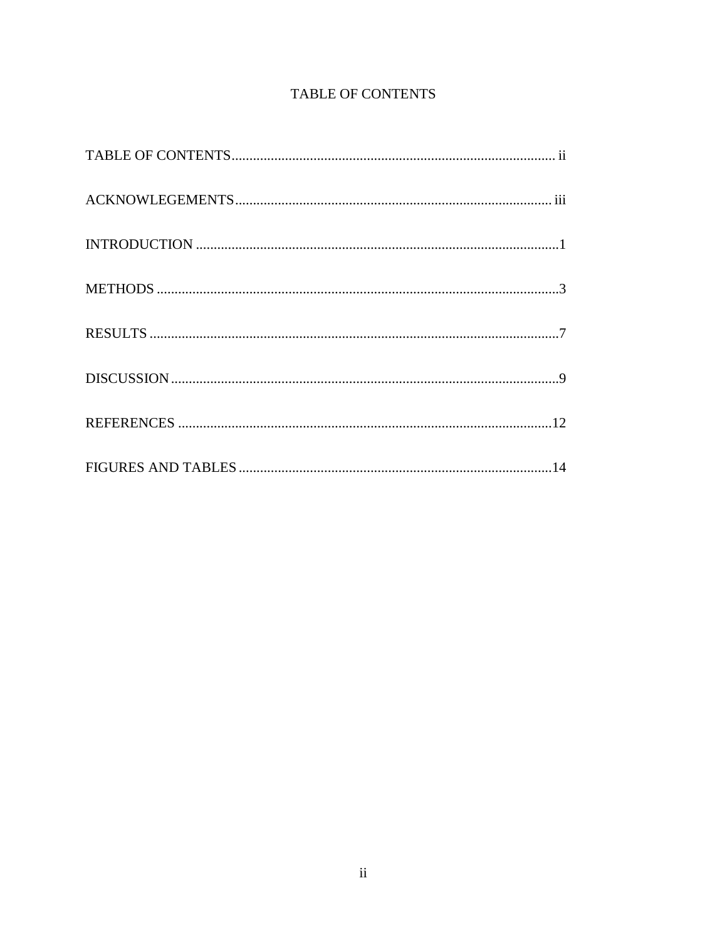# TABLE OF CONTENTS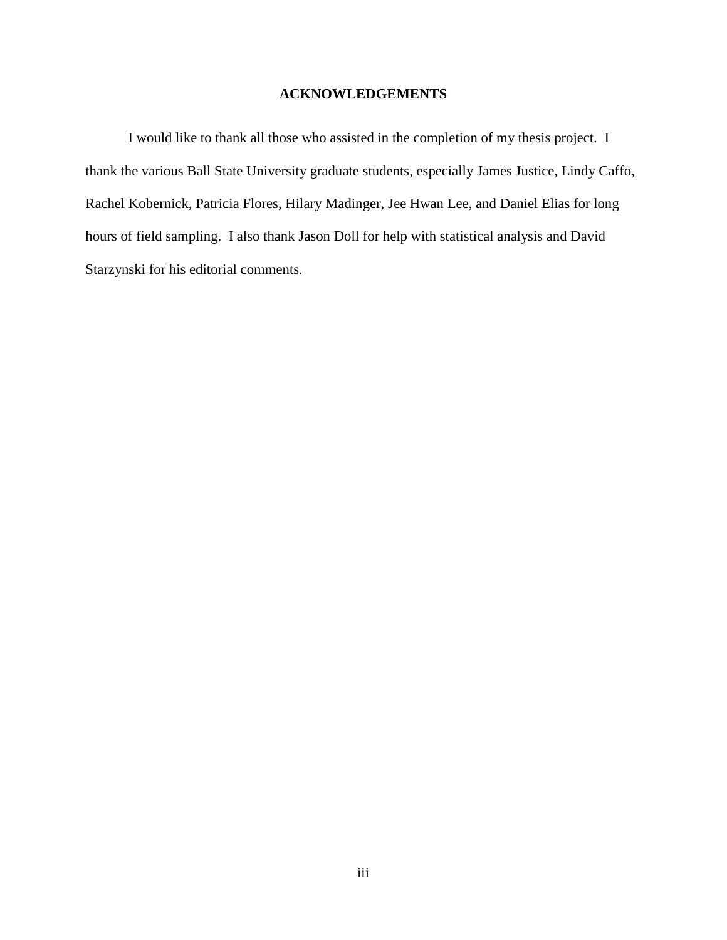### **ACKNOWLEDGEMENTS**

I would like to thank all those who assisted in the completion of my thesis project. I thank the various Ball State University graduate students, especially James Justice, Lindy Caffo, Rachel Kobernick, Patricia Flores, Hilary Madinger, Jee Hwan Lee, and Daniel Elias for long hours of field sampling. I also thank Jason Doll for help with statistical analysis and David Starzynski for his editorial comments.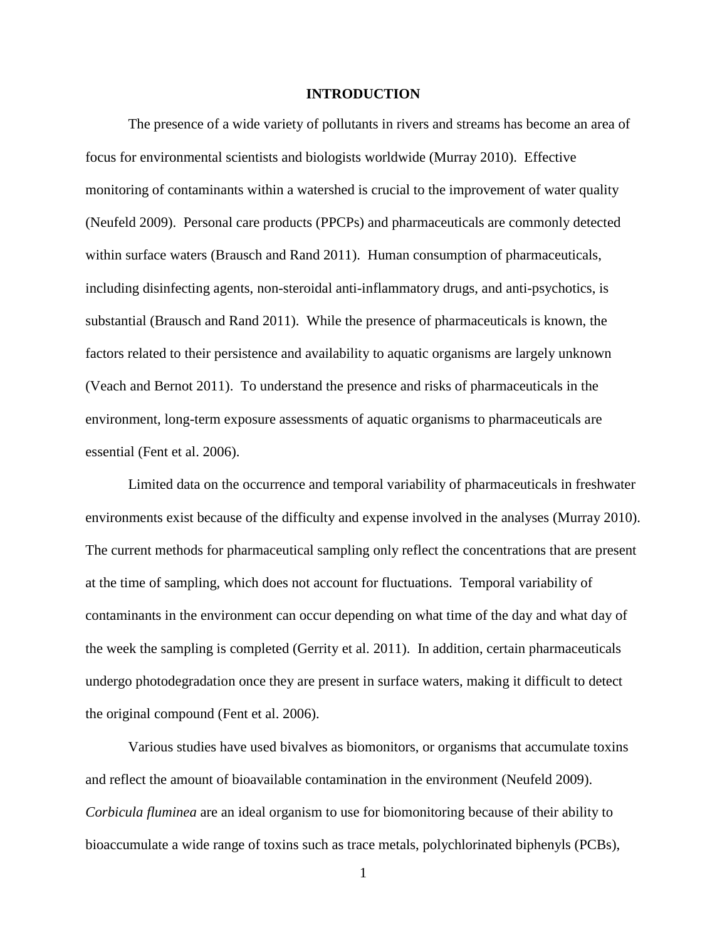#### **INTRODUCTION**

The presence of a wide variety of pollutants in rivers and streams has become an area of focus for environmental scientists and biologists worldwide (Murray 2010). Effective monitoring of contaminants within a watershed is crucial to the improvement of water quality (Neufeld 2009). Personal care products (PPCPs) and pharmaceuticals are commonly detected within surface waters (Brausch and Rand 2011). Human consumption of pharmaceuticals, including disinfecting agents, non-steroidal anti-inflammatory drugs, and anti-psychotics, is substantial (Brausch and Rand 2011). While the presence of pharmaceuticals is known, the factors related to their persistence and availability to aquatic organisms are largely unknown (Veach and Bernot 2011). To understand the presence and risks of pharmaceuticals in the environment, long-term exposure assessments of aquatic organisms to pharmaceuticals are essential (Fent et al. 2006).

Limited data on the occurrence and temporal variability of pharmaceuticals in freshwater environments exist because of the difficulty and expense involved in the analyses (Murray 2010). The current methods for pharmaceutical sampling only reflect the concentrations that are present at the time of sampling, which does not account for fluctuations. Temporal variability of contaminants in the environment can occur depending on what time of the day and what day of the week the sampling is completed (Gerrity et al. 2011). In addition, certain pharmaceuticals undergo photodegradation once they are present in surface waters, making it difficult to detect the original compound (Fent et al. 2006).

Various studies have used bivalves as biomonitors, or organisms that accumulate toxins and reflect the amount of bioavailable contamination in the environment (Neufeld 2009). *Corbicula fluminea* are an ideal organism to use for biomonitoring because of their ability to bioaccumulate a wide range of toxins such as trace metals, polychlorinated biphenyls (PCBs),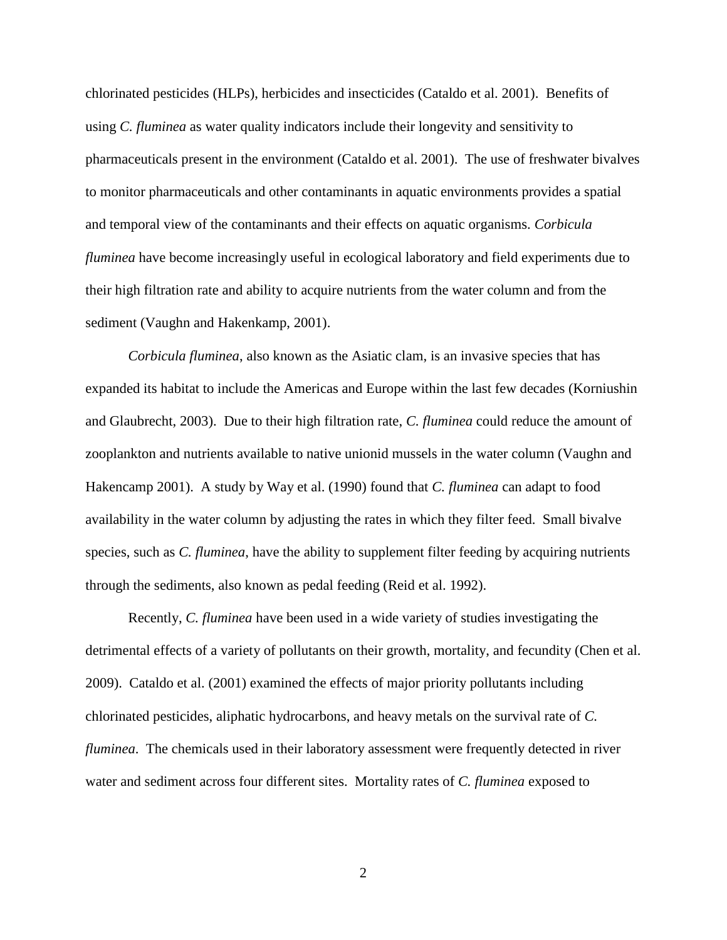chlorinated pesticides (HLPs), herbicides and insecticides (Cataldo et al. 2001). Benefits of using *C. fluminea* as water quality indicators include their longevity and sensitivity to pharmaceuticals present in the environment (Cataldo et al. 2001). The use of freshwater bivalves to monitor pharmaceuticals and other contaminants in aquatic environments provides a spatial and temporal view of the contaminants and their effects on aquatic organisms. *Corbicula fluminea* have become increasingly useful in ecological laboratory and field experiments due to their high filtration rate and ability to acquire nutrients from the water column and from the sediment (Vaughn and Hakenkamp, 2001).

*Corbicula fluminea*, also known as the Asiatic clam, is an invasive species that has expanded its habitat to include the Americas and Europe within the last few decades (Korniushin and Glaubrecht, 2003). Due to their high filtration rate, *C. fluminea* could reduce the amount of zooplankton and nutrients available to native unionid mussels in the water column (Vaughn and Hakencamp 2001). A study by Way et al. (1990) found that *C. fluminea* can adapt to food availability in the water column by adjusting the rates in which they filter feed. Small bivalve species, such as *C. fluminea*, have the ability to supplement filter feeding by acquiring nutrients through the sediments, also known as pedal feeding (Reid et al. 1992).

Recently, *C. fluminea* have been used in a wide variety of studies investigating the detrimental effects of a variety of pollutants on their growth, mortality, and fecundity (Chen et al. 2009). Cataldo et al. (2001) examined the effects of major priority pollutants including chlorinated pesticides, aliphatic hydrocarbons, and heavy metals on the survival rate of *C. fluminea*. The chemicals used in their laboratory assessment were frequently detected in river water and sediment across four different sites. Mortality rates of *C. fluminea* exposed to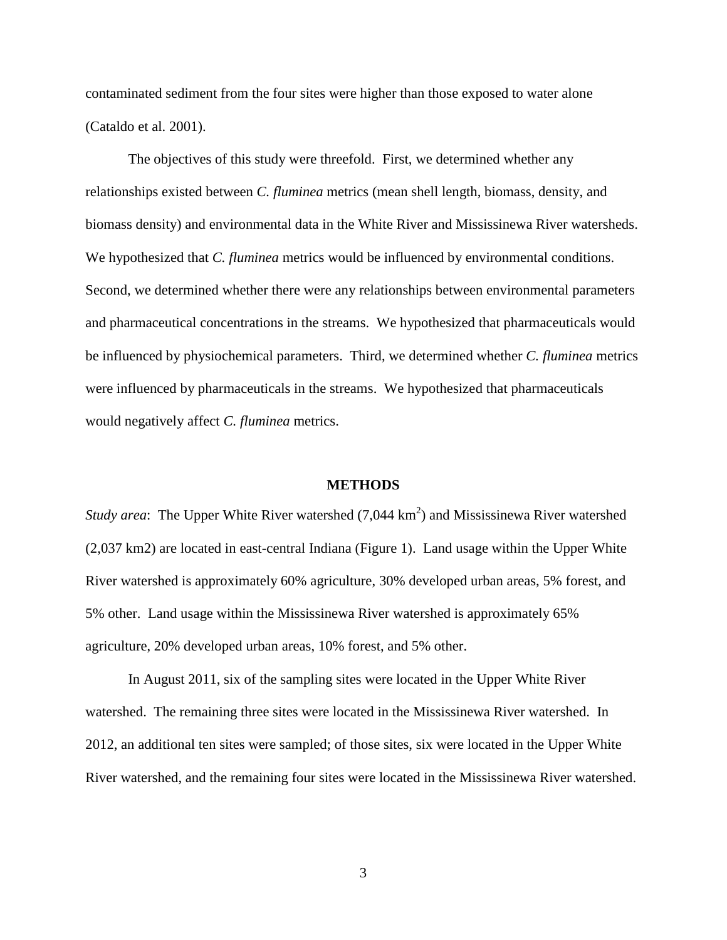contaminated sediment from the four sites were higher than those exposed to water alone (Cataldo et al. 2001).

The objectives of this study were threefold. First, we determined whether any relationships existed between *C. fluminea* metrics (mean shell length, biomass, density, and biomass density) and environmental data in the White River and Mississinewa River watersheds. We hypothesized that *C. fluminea* metrics would be influenced by environmental conditions. Second, we determined whether there were any relationships between environmental parameters and pharmaceutical concentrations in the streams. We hypothesized that pharmaceuticals would be influenced by physiochemical parameters. Third, we determined whether *C. fluminea* metrics were influenced by pharmaceuticals in the streams. We hypothesized that pharmaceuticals would negatively affect *C. fluminea* metrics.

#### **METHODS**

*Study area*: The Upper White River watershed  $(7,044 \text{ km}^2)$  and Mississinewa River watershed (2,037 km2) are located in east-central Indiana (Figure 1). Land usage within the Upper White River watershed is approximately 60% agriculture, 30% developed urban areas, 5% forest, and 5% other. Land usage within the Mississinewa River watershed is approximately 65% agriculture, 20% developed urban areas, 10% forest, and 5% other.

In August 2011, six of the sampling sites were located in the Upper White River watershed. The remaining three sites were located in the Mississinewa River watershed. In 2012, an additional ten sites were sampled; of those sites, six were located in the Upper White River watershed, and the remaining four sites were located in the Mississinewa River watershed.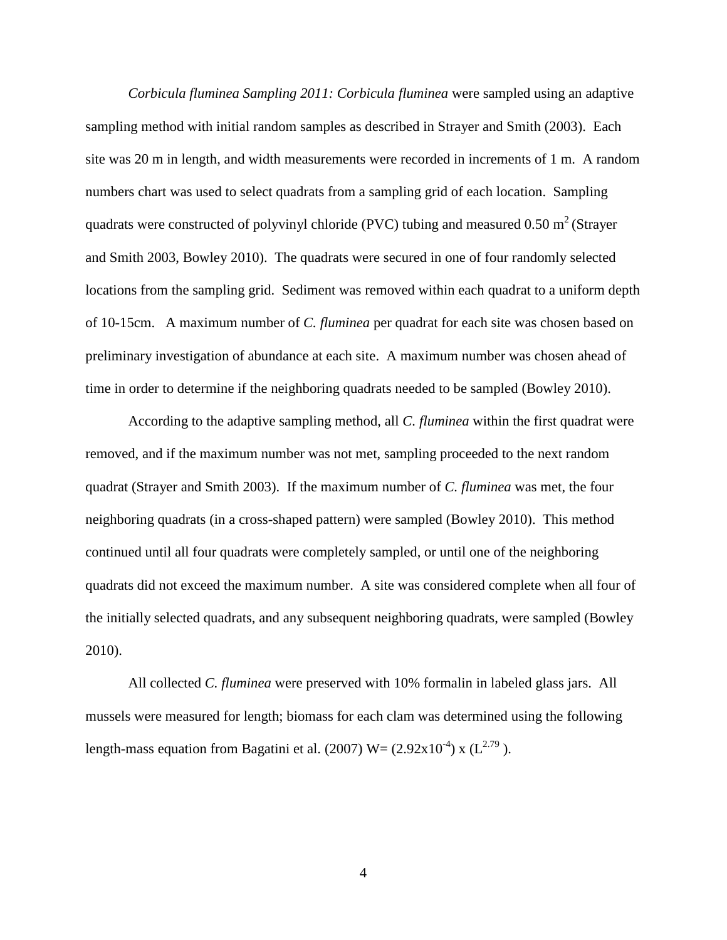*Corbicula fluminea Sampling 2011: Corbicula fluminea* were sampled using an adaptive sampling method with initial random samples as described in Strayer and Smith (2003). Each site was 20 m in length, and width measurements were recorded in increments of 1 m. A random numbers chart was used to select quadrats from a sampling grid of each location. Sampling quadrats were constructed of polyvinyl chloride (PVC) tubing and measured 0.50 m<sup>2</sup> (Strayer and Smith 2003, Bowley 2010). The quadrats were secured in one of four randomly selected locations from the sampling grid. Sediment was removed within each quadrat to a uniform depth of 10-15cm. A maximum number of *C. fluminea* per quadrat for each site was chosen based on preliminary investigation of abundance at each site. A maximum number was chosen ahead of time in order to determine if the neighboring quadrats needed to be sampled (Bowley 2010).

According to the adaptive sampling method, all *C. fluminea* within the first quadrat were removed, and if the maximum number was not met, sampling proceeded to the next random quadrat (Strayer and Smith 2003). If the maximum number of *C. fluminea* was met, the four neighboring quadrats (in a cross-shaped pattern) were sampled (Bowley 2010). This method continued until all four quadrats were completely sampled, or until one of the neighboring quadrats did not exceed the maximum number. A site was considered complete when all four of the initially selected quadrats, and any subsequent neighboring quadrats, were sampled (Bowley 2010).

All collected *C. fluminea* were preserved with 10% formalin in labeled glass jars. All mussels were measured for length; biomass for each clam was determined using the following length-mass equation from Bagatini et al. (2007)  $W = (2.92 \times 10^{-4}) \times (L^{2.79})$ .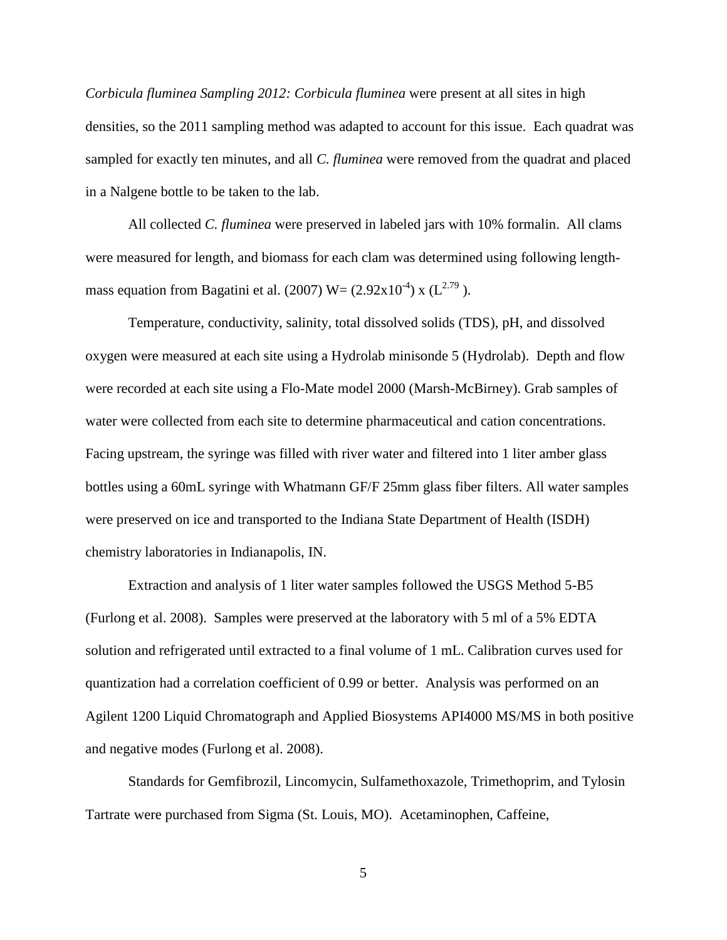*Corbicula fluminea Sampling 2012: Corbicula fluminea* were present at all sites in high densities, so the 2011 sampling method was adapted to account for this issue. Each quadrat was sampled for exactly ten minutes, and all *C. fluminea* were removed from the quadrat and placed in a Nalgene bottle to be taken to the lab.

All collected *C. fluminea* were preserved in labeled jars with 10% formalin. All clams were measured for length, and biomass for each clam was determined using following lengthmass equation from Bagatini et al. (2007)  $W = (2.92 \times 10^{-4}) \times (L^{2.79})$ .

Temperature, conductivity, salinity, total dissolved solids (TDS), pH, and dissolved oxygen were measured at each site using a Hydrolab minisonde 5 (Hydrolab). Depth and flow were recorded at each site using a Flo-Mate model 2000 (Marsh-McBirney). Grab samples of water were collected from each site to determine pharmaceutical and cation concentrations. Facing upstream, the syringe was filled with river water and filtered into 1 liter amber glass bottles using a 60mL syringe with Whatmann GF/F 25mm glass fiber filters. All water samples were preserved on ice and transported to the Indiana State Department of Health (ISDH) chemistry laboratories in Indianapolis, IN.

Extraction and analysis of 1 liter water samples followed the USGS Method 5-B5 (Furlong et al. 2008). Samples were preserved at the laboratory with 5 ml of a 5% EDTA solution and refrigerated until extracted to a final volume of 1 mL. Calibration curves used for quantization had a correlation coefficient of 0.99 or better. Analysis was performed on an Agilent 1200 Liquid Chromatograph and Applied Biosystems API4000 MS/MS in both positive and negative modes (Furlong et al. 2008).

Standards for Gemfibrozil, Lincomycin, Sulfamethoxazole, Trimethoprim, and Tylosin Tartrate were purchased from Sigma (St. Louis, MO). Acetaminophen, Caffeine,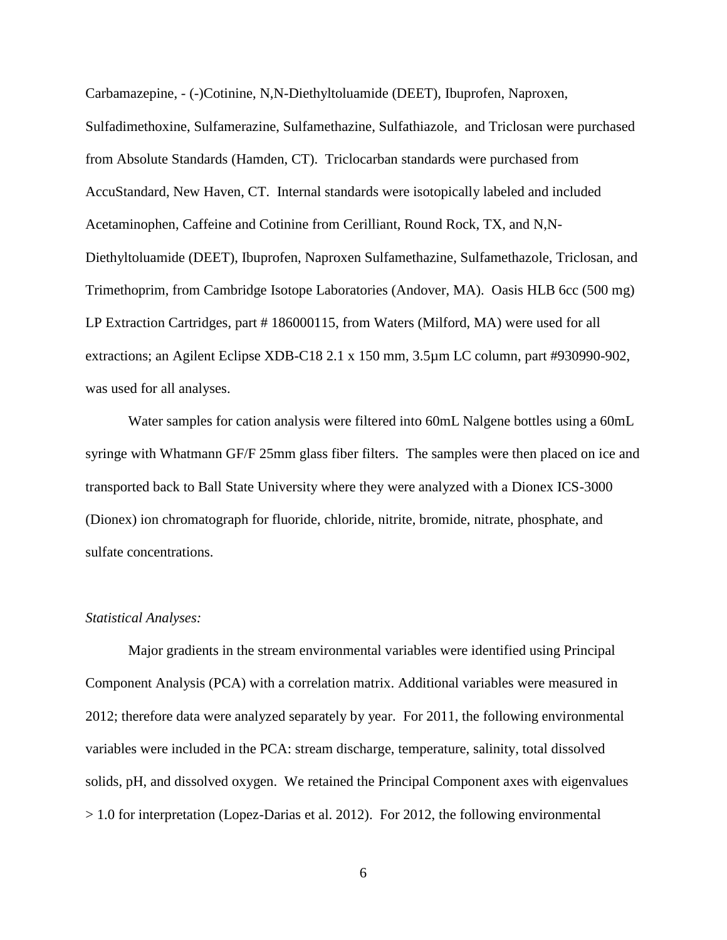Carbamazepine, - (-)Cotinine, N,N-Diethyltoluamide (DEET), Ibuprofen, Naproxen,

Sulfadimethoxine, Sulfamerazine, Sulfamethazine, Sulfathiazole, and Triclosan were purchased from Absolute Standards (Hamden, CT). Triclocarban standards were purchased from AccuStandard, New Haven, CT. Internal standards were isotopically labeled and included Acetaminophen, Caffeine and Cotinine from Cerilliant, Round Rock, TX, and N,N-Diethyltoluamide (DEET), Ibuprofen, Naproxen Sulfamethazine, Sulfamethazole, Triclosan, and Trimethoprim, from Cambridge Isotope Laboratories (Andover, MA). Oasis HLB 6cc (500 mg) LP Extraction Cartridges, part #186000115, from Waters (Milford, MA) were used for all extractions; an Agilent Eclipse XDB-C18 2.1 x 150 mm, 3.5µm LC column, part #930990-902, was used for all analyses.

Water samples for cation analysis were filtered into 60mL Nalgene bottles using a 60mL syringe with Whatmann GF/F 25mm glass fiber filters. The samples were then placed on ice and transported back to Ball State University where they were analyzed with a Dionex ICS-3000 (Dionex) ion chromatograph for fluoride, chloride, nitrite, bromide, nitrate, phosphate, and sulfate concentrations.

#### *Statistical Analyses:*

Major gradients in the stream environmental variables were identified using Principal Component Analysis (PCA) with a correlation matrix. Additional variables were measured in 2012; therefore data were analyzed separately by year. For 2011, the following environmental variables were included in the PCA: stream discharge, temperature, salinity, total dissolved solids, pH, and dissolved oxygen. We retained the Principal Component axes with eigenvalues > 1.0 for interpretation (Lopez-Darias et al. 2012). For 2012, the following environmental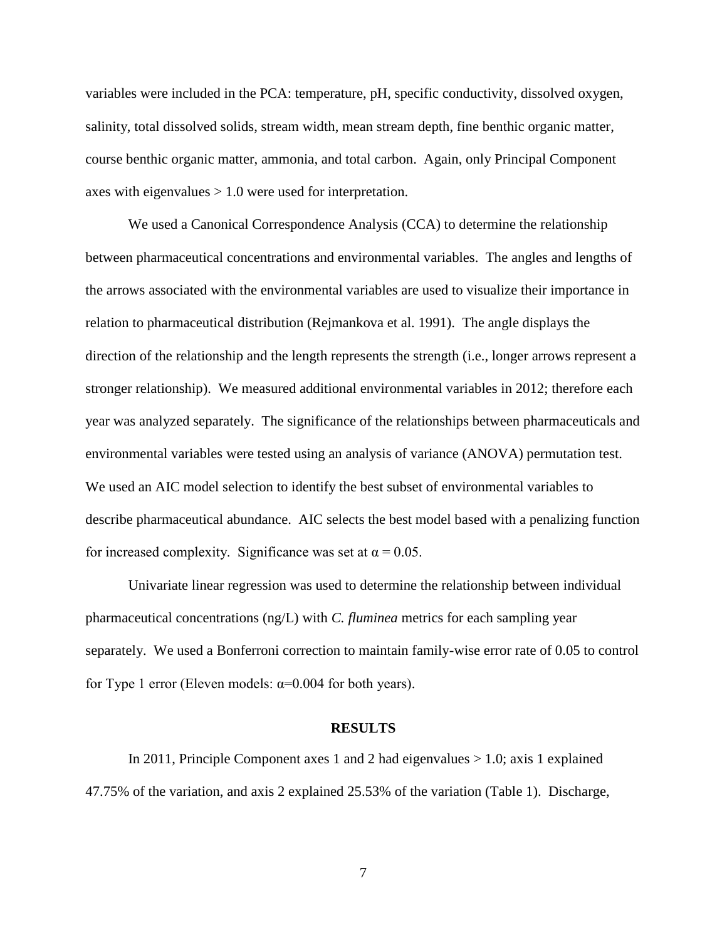variables were included in the PCA: temperature, pH, specific conductivity, dissolved oxygen, salinity, total dissolved solids, stream width, mean stream depth, fine benthic organic matter, course benthic organic matter, ammonia, and total carbon. Again, only Principal Component axes with eigenvalues > 1.0 were used for interpretation.

We used a Canonical Correspondence Analysis (CCA) to determine the relationship between pharmaceutical concentrations and environmental variables. The angles and lengths of the arrows associated with the environmental variables are used to visualize their importance in relation to pharmaceutical distribution (Rejmankova et al. 1991). The angle displays the direction of the relationship and the length represents the strength (i.e., longer arrows represent a stronger relationship). We measured additional environmental variables in 2012; therefore each year was analyzed separately. The significance of the relationships between pharmaceuticals and environmental variables were tested using an analysis of variance (ANOVA) permutation test. We used an AIC model selection to identify the best subset of environmental variables to describe pharmaceutical abundance. AIC selects the best model based with a penalizing function for increased complexity. Significance was set at  $\alpha = 0.05$ .

Univariate linear regression was used to determine the relationship between individual pharmaceutical concentrations (ng/L) with *C. fluminea* metrics for each sampling year separately. We used a Bonferroni correction to maintain family-wise error rate of 0.05 to control for Type 1 error (Eleven models:  $\alpha$ =0.004 for both years).

#### **RESULTS**

In 2011, Principle Component axes 1 and 2 had eigenvalues  $> 1.0$ ; axis 1 explained 47.75% of the variation, and axis 2 explained 25.53% of the variation (Table 1). Discharge,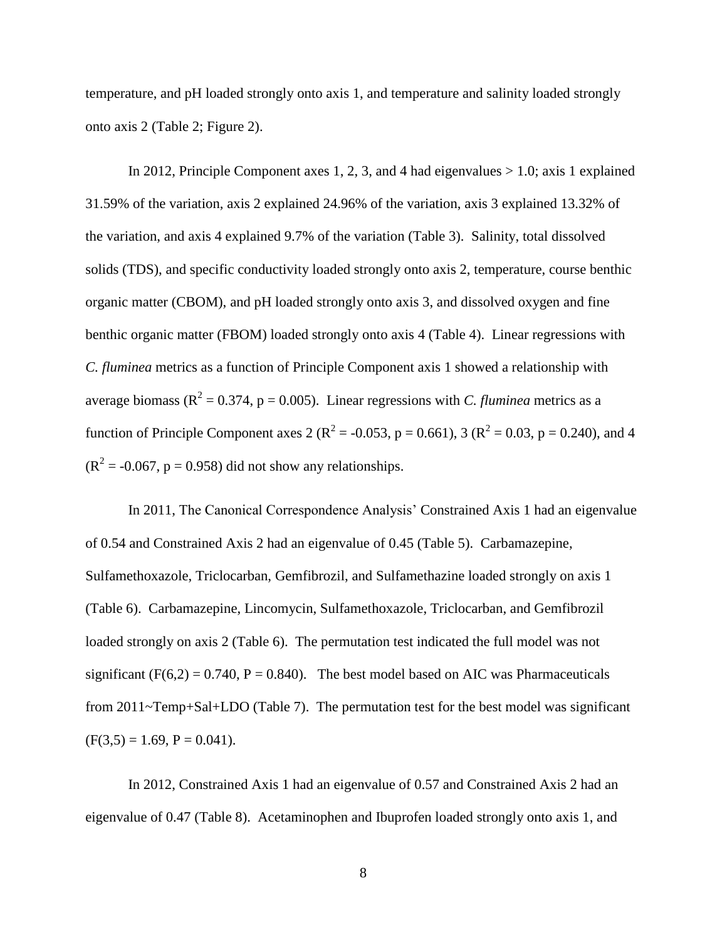temperature, and pH loaded strongly onto axis 1, and temperature and salinity loaded strongly onto axis 2 (Table 2; Figure 2).

In 2012, Principle Component axes 1, 2, 3, and 4 had eigenvalues  $> 1.0$ ; axis 1 explained 31.59% of the variation, axis 2 explained 24.96% of the variation, axis 3 explained 13.32% of the variation, and axis 4 explained 9.7% of the variation (Table 3). Salinity, total dissolved solids (TDS), and specific conductivity loaded strongly onto axis 2, temperature, course benthic organic matter (CBOM), and pH loaded strongly onto axis 3, and dissolved oxygen and fine benthic organic matter (FBOM) loaded strongly onto axis 4 (Table 4). Linear regressions with *C. fluminea* metrics as a function of Principle Component axis 1 showed a relationship with average biomass ( $R^2 = 0.374$ ,  $p = 0.005$ ). Linear regressions with *C. fluminea* metrics as a function of Principle Component axes 2 ( $R^2 = -0.053$ , p = 0.661), 3 ( $R^2 = 0.03$ , p = 0.240), and 4  $(R<sup>2</sup> = -0.067, p = 0.958)$  did not show any relationships.

In 2011, The Canonical Correspondence Analysis' Constrained Axis 1 had an eigenvalue of 0.54 and Constrained Axis 2 had an eigenvalue of 0.45 (Table 5). Carbamazepine, Sulfamethoxazole, Triclocarban, Gemfibrozil, and Sulfamethazine loaded strongly on axis 1 (Table 6). Carbamazepine, Lincomycin, Sulfamethoxazole, Triclocarban, and Gemfibrozil loaded strongly on axis 2 (Table 6). The permutation test indicated the full model was not significant ( $F(6,2) = 0.740$ ,  $P = 0.840$ ). The best model based on AIC was Pharmaceuticals from 2011~Temp+Sal+LDO (Table 7). The permutation test for the best model was significant  $(F(3,5) = 1.69, P = 0.041).$ 

In 2012, Constrained Axis 1 had an eigenvalue of 0.57 and Constrained Axis 2 had an eigenvalue of 0.47 (Table 8). Acetaminophen and Ibuprofen loaded strongly onto axis 1, and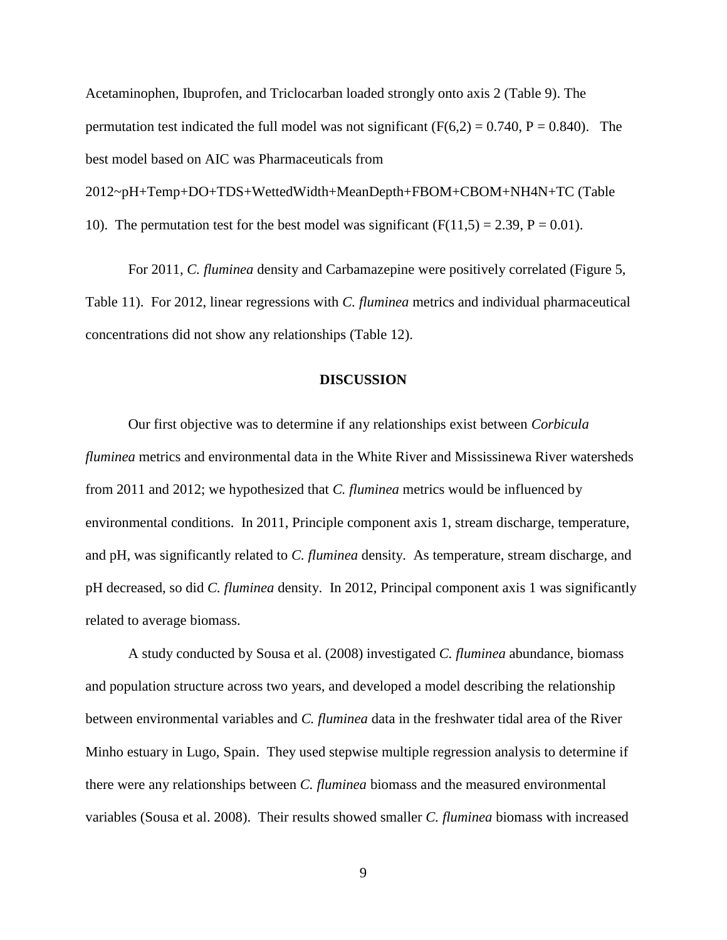Acetaminophen, Ibuprofen, and Triclocarban loaded strongly onto axis 2 (Table 9). The permutation test indicated the full model was not significant ( $F(6,2) = 0.740$ ,  $P = 0.840$ ). The best model based on AIC was Pharmaceuticals from 2012~pH+Temp+DO+TDS+WettedWidth+MeanDepth+FBOM+CBOM+NH4N+TC (Table 10). The permutation test for the best model was significant  $(F(11,5) = 2.39, P = 0.01)$ .

For 2011, *C. fluminea* density and Carbamazepine were positively correlated (Figure 5, Table 11). For 2012, linear regressions with *C. fluminea* metrics and individual pharmaceutical concentrations did not show any relationships (Table 12).

#### **DISCUSSION**

Our first objective was to determine if any relationships exist between *Corbicula fluminea* metrics and environmental data in the White River and Mississinewa River watersheds from 2011 and 2012; we hypothesized that *C. fluminea* metrics would be influenced by environmental conditions. In 2011, Principle component axis 1, stream discharge, temperature, and pH, was significantly related to *C. fluminea* density. As temperature, stream discharge, and pH decreased, so did *C. fluminea* density. In 2012, Principal component axis 1 was significantly related to average biomass.

A study conducted by Sousa et al. (2008) investigated *C. fluminea* abundance, biomass and population structure across two years, and developed a model describing the relationship between environmental variables and *C. fluminea* data in the freshwater tidal area of the River Minho estuary in Lugo, Spain. They used stepwise multiple regression analysis to determine if there were any relationships between *C. fluminea* biomass and the measured environmental variables (Sousa et al. 2008). Their results showed smaller *C. fluminea* biomass with increased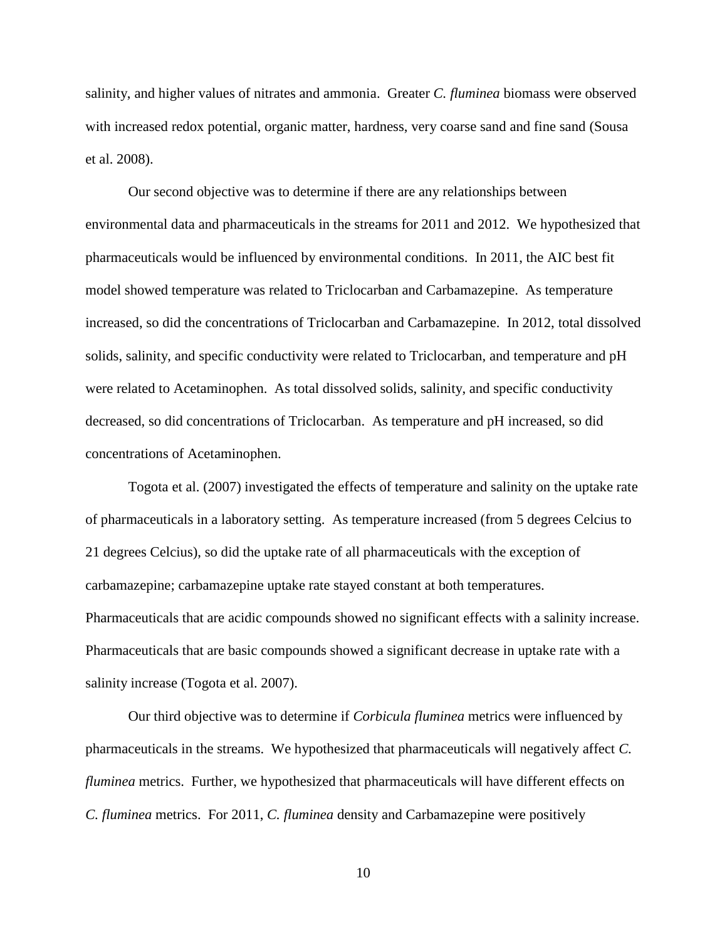salinity, and higher values of nitrates and ammonia. Greater *C. fluminea* biomass were observed with increased redox potential, organic matter, hardness, very coarse sand and fine sand (Sousa et al. 2008).

Our second objective was to determine if there are any relationships between environmental data and pharmaceuticals in the streams for 2011 and 2012. We hypothesized that pharmaceuticals would be influenced by environmental conditions. In 2011, the AIC best fit model showed temperature was related to Triclocarban and Carbamazepine. As temperature increased, so did the concentrations of Triclocarban and Carbamazepine. In 2012, total dissolved solids, salinity, and specific conductivity were related to Triclocarban, and temperature and pH were related to Acetaminophen. As total dissolved solids, salinity, and specific conductivity decreased, so did concentrations of Triclocarban. As temperature and pH increased, so did concentrations of Acetaminophen.

Togota et al. (2007) investigated the effects of temperature and salinity on the uptake rate of pharmaceuticals in a laboratory setting. As temperature increased (from 5 degrees Celcius to 21 degrees Celcius), so did the uptake rate of all pharmaceuticals with the exception of carbamazepine; carbamazepine uptake rate stayed constant at both temperatures. Pharmaceuticals that are acidic compounds showed no significant effects with a salinity increase. Pharmaceuticals that are basic compounds showed a significant decrease in uptake rate with a salinity increase (Togota et al. 2007).

Our third objective was to determine if *Corbicula fluminea* metrics were influenced by pharmaceuticals in the streams. We hypothesized that pharmaceuticals will negatively affect *C. fluminea* metrics. Further, we hypothesized that pharmaceuticals will have different effects on *C. fluminea* metrics. For 2011, *C. fluminea* density and Carbamazepine were positively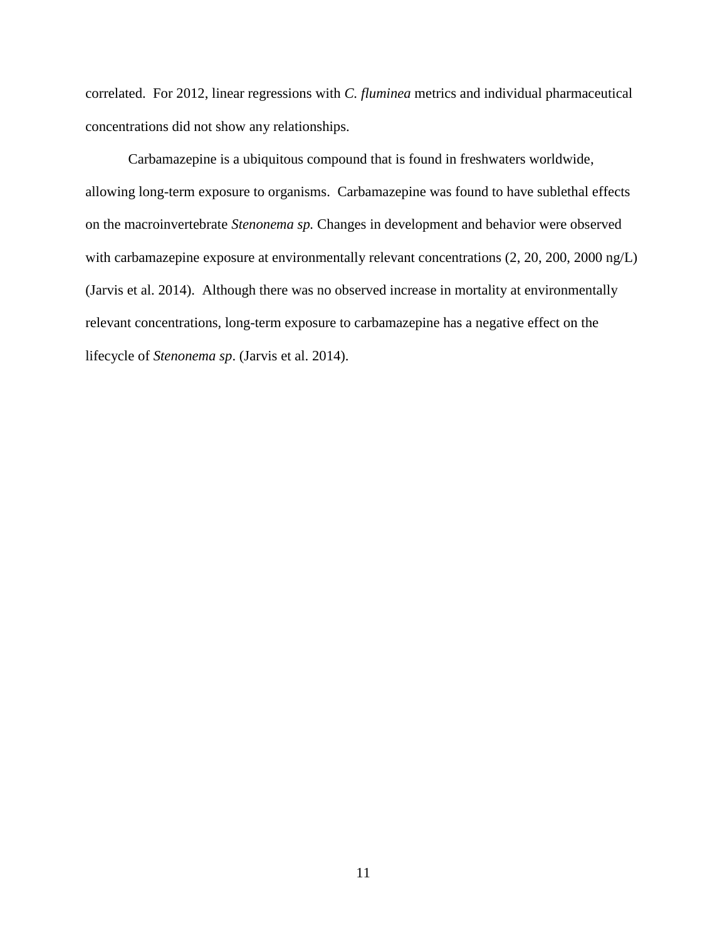correlated. For 2012, linear regressions with *C. fluminea* metrics and individual pharmaceutical concentrations did not show any relationships.

Carbamazepine is a ubiquitous compound that is found in freshwaters worldwide, allowing long-term exposure to organisms. Carbamazepine was found to have sublethal effects on the macroinvertebrate *Stenonema sp.* Changes in development and behavior were observed with carbamazepine exposure at environmentally relevant concentrations (2, 20, 200, 2000 ng/L) (Jarvis et al. 2014). Although there was no observed increase in mortality at environmentally relevant concentrations, long-term exposure to carbamazepine has a negative effect on the lifecycle of *Stenonema sp*. (Jarvis et al. 2014).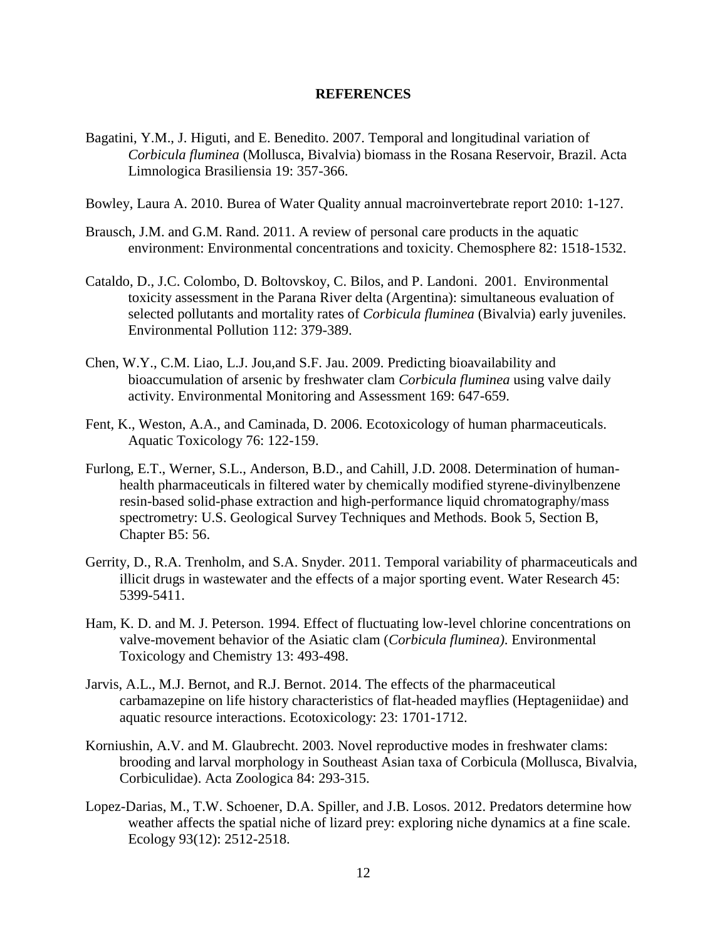#### **REFERENCES**

- Bagatini, Y.M., J. Higuti, and E. Benedito. 2007. Temporal and longitudinal variation of *Corbicula fluminea* (Mollusca, Bivalvia) biomass in the Rosana Reservoir, Brazil. Acta Limnologica Brasiliensia 19: 357-366.
- Bowley, Laura A. 2010. Burea of Water Quality annual macroinvertebrate report 2010: 1-127.
- Brausch, J.M. and G.M. Rand. 2011. A review of personal care products in the aquatic environment: Environmental concentrations and toxicity. Chemosphere 82: 1518-1532.
- Cataldo, D., J.C. Colombo, D. Boltovskoy, C. Bilos, and P. Landoni. 2001. Environmental toxicity assessment in the Parana River delta (Argentina): simultaneous evaluation of selected pollutants and mortality rates of *Corbicula fluminea* (Bivalvia) early juveniles. Environmental Pollution 112: 379-389.
- Chen, W.Y., C.M. Liao, L.J. Jou,and S.F. Jau. 2009. Predicting bioavailability and bioaccumulation of arsenic by freshwater clam *Corbicula fluminea* using valve daily activity. Environmental Monitoring and Assessment 169: 647-659.
- Fent, K., Weston, A.A., and Caminada, D. 2006. Ecotoxicology of human pharmaceuticals. Aquatic Toxicology 76: 122-159.
- Furlong, E.T., Werner, S.L., Anderson, B.D., and Cahill, J.D. 2008. Determination of humanhealth pharmaceuticals in filtered water by chemically modified styrene-divinylbenzene resin-based solid-phase extraction and high-performance liquid chromatography/mass spectrometry: U.S. Geological Survey Techniques and Methods. Book 5, Section B, Chapter B5: 56.
- Gerrity, D., R.A. Trenholm, and S.A. Snyder. 2011. Temporal variability of pharmaceuticals and illicit drugs in wastewater and the effects of a major sporting event. Water Research 45: 5399-5411.
- Ham, K. D. and M. J. Peterson. 1994. Effect of fluctuating low-level chlorine concentrations on valve-movement behavior of the Asiatic clam (*Corbicula fluminea)*. Environmental Toxicology and Chemistry 13: 493-498.
- Jarvis, A.L., M.J. Bernot, and R.J. Bernot. 2014. The effects of the pharmaceutical carbamazepine on life history characteristics of flat-headed mayflies (Heptageniidae) and aquatic resource interactions. Ecotoxicology: 23: 1701-1712.
- Korniushin, A.V. and M. Glaubrecht. 2003. Novel reproductive modes in freshwater clams: brooding and larval morphology in Southeast Asian taxa of Corbicula (Mollusca, Bivalvia, Corbiculidae). Acta Zoologica 84: 293-315.
- Lopez-Darias, M., T.W. Schoener, D.A. Spiller, and J.B. Losos. 2012. Predators determine how weather affects the spatial niche of lizard prey: exploring niche dynamics at a fine scale. Ecology 93(12): 2512-2518.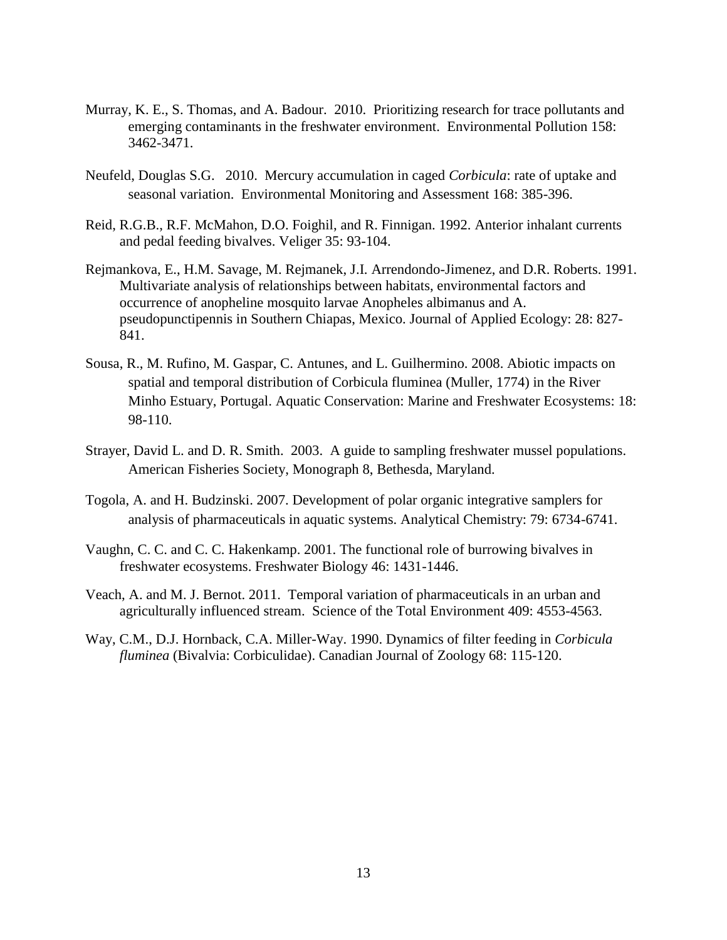- Murray, K. E., S. Thomas, and A. Badour. 2010. Prioritizing research for trace pollutants and emerging contaminants in the freshwater environment. Environmental Pollution 158: 3462-3471.
- Neufeld, Douglas S.G. 2010. Mercury accumulation in caged *Corbicula*: rate of uptake and seasonal variation. Environmental Monitoring and Assessment 168: 385-396.
- Reid, R.G.B., R.F. McMahon, D.O. Foighil, and R. Finnigan. 1992. Anterior inhalant currents and pedal feeding bivalves. Veliger 35: 93-104.
- Rejmankova, E., H.M. Savage, M. Rejmanek, J.I. Arrendondo-Jimenez, and D.R. Roberts. 1991. Multivariate analysis of relationships between habitats, environmental factors and occurrence of anopheline mosquito larvae Anopheles albimanus and A. pseudopunctipennis in Southern Chiapas, Mexico. Journal of Applied Ecology: 28: 827- 841.
- Sousa, R., M. Rufino, M. Gaspar, C. Antunes, and L. Guilhermino. 2008. Abiotic impacts on spatial and temporal distribution of Corbicula fluminea (Muller, 1774) in the River Minho Estuary, Portugal. Aquatic Conservation: Marine and Freshwater Ecosystems: 18: 98-110.
- Strayer, David L. and D. R. Smith. 2003. A guide to sampling freshwater mussel populations. American Fisheries Society, Monograph 8, Bethesda, Maryland.
- Togola, A. and H. Budzinski. 2007. Development of polar organic integrative samplers for analysis of pharmaceuticals in aquatic systems. Analytical Chemistry: 79: 6734-6741.
- Vaughn, C. C. and C. C. Hakenkamp. 2001. The functional role of burrowing bivalves in freshwater ecosystems. Freshwater Biology 46: 1431-1446.
- Veach, A. and M. J. Bernot. 2011. Temporal variation of pharmaceuticals in an urban and agriculturally influenced stream. Science of the Total Environment 409: 4553-4563.
- Way, C.M., D.J. Hornback, C.A. Miller-Way. 1990. Dynamics of filter feeding in *Corbicula fluminea* (Bivalvia: Corbiculidae). Canadian Journal of Zoology 68: 115-120.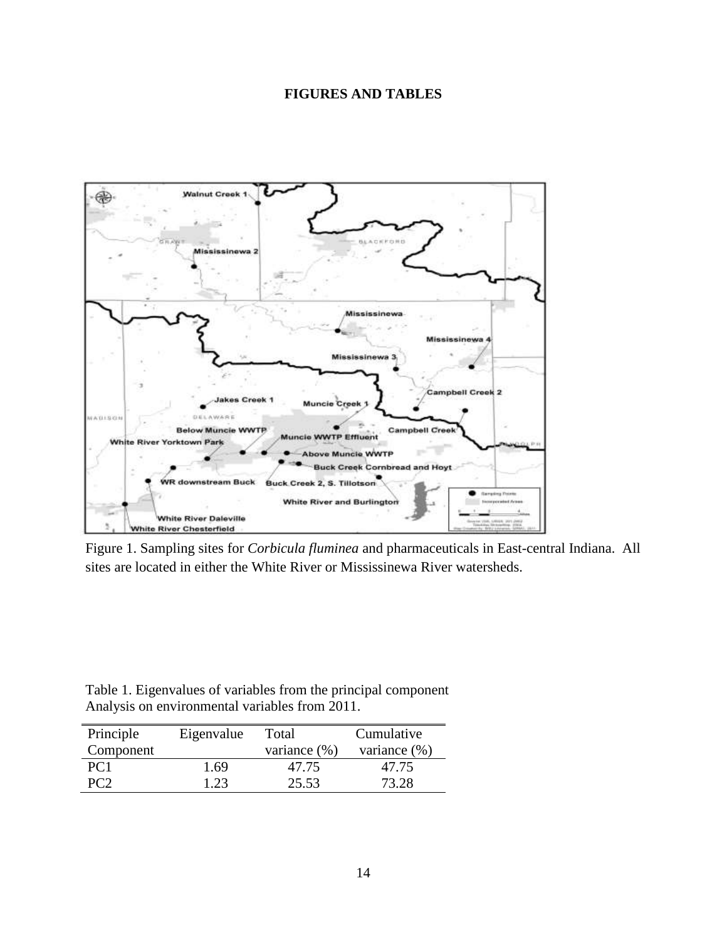# **FIGURES AND TABLES**



Figure 1. Sampling sites for *Corbicula fluminea* and pharmaceuticals in East-central Indiana. All sites are located in either the White River or Mississinewa River watersheds.

| Table 1. Eigenvalues of variables from the principal component |  |  |
|----------------------------------------------------------------|--|--|
| Analysis on environmental variables from 2011.                 |  |  |

| Principle       | Eigenvalue | Total           | Cumulative       |
|-----------------|------------|-----------------|------------------|
| Component       |            | variance $(\%)$ | variance $(\% )$ |
| PC <sub>1</sub> | 1.69       | 47.75           | 47.75            |
| PC <sub>2</sub> | 1.23       | 25.53           | 73.28            |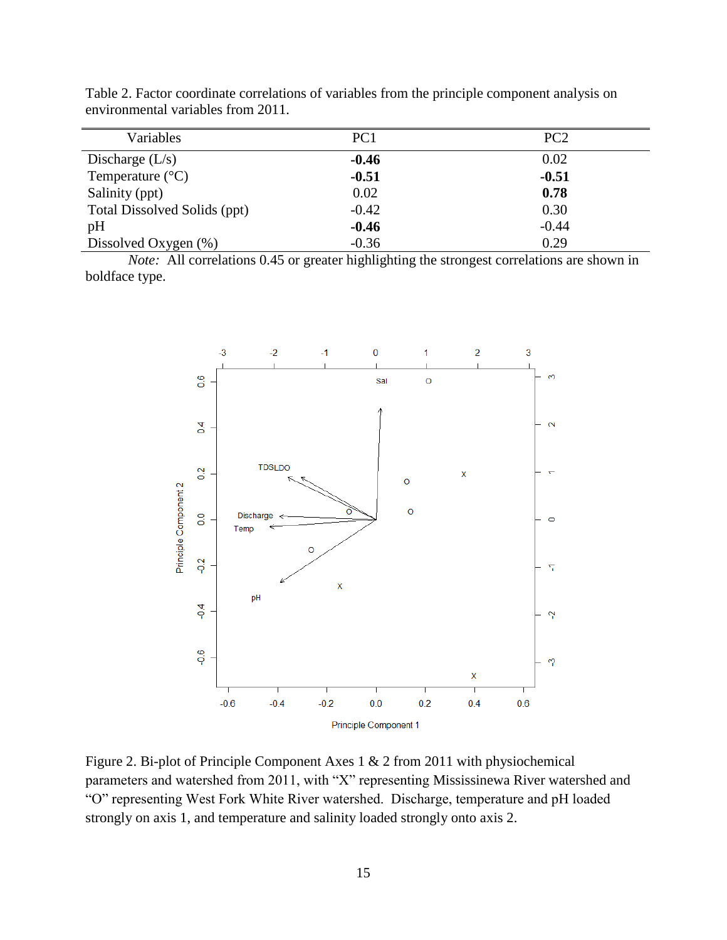| Variables                    | PC1     | PC <sub>2</sub> |
|------------------------------|---------|-----------------|
| Discharge $(L/s)$            | $-0.46$ | 0.02            |
| Temperature $(^{\circ}C)$    | $-0.51$ | $-0.51$         |
| Salinity (ppt)               | 0.02    | 0.78            |
| Total Dissolved Solids (ppt) | $-0.42$ | 0.30            |
| pH                           | $-0.46$ | $-0.44$         |
| Dissolved Oxygen $(\%)$      | $-0.36$ | 0.29            |

Table 2. Factor coordinate correlations of variables from the principle component analysis on environmental variables from 2011.

*Note:* All correlations 0.45 or greater highlighting the strongest correlations are shown in boldface type.



Figure 2. Bi-plot of Principle Component Axes 1 & 2 from 2011 with physiochemical parameters and watershed from 2011, with "X" representing Mississinewa River watershed and "O" representing West Fork White River watershed. Discharge, temperature and pH loaded strongly on axis 1, and temperature and salinity loaded strongly onto axis 2.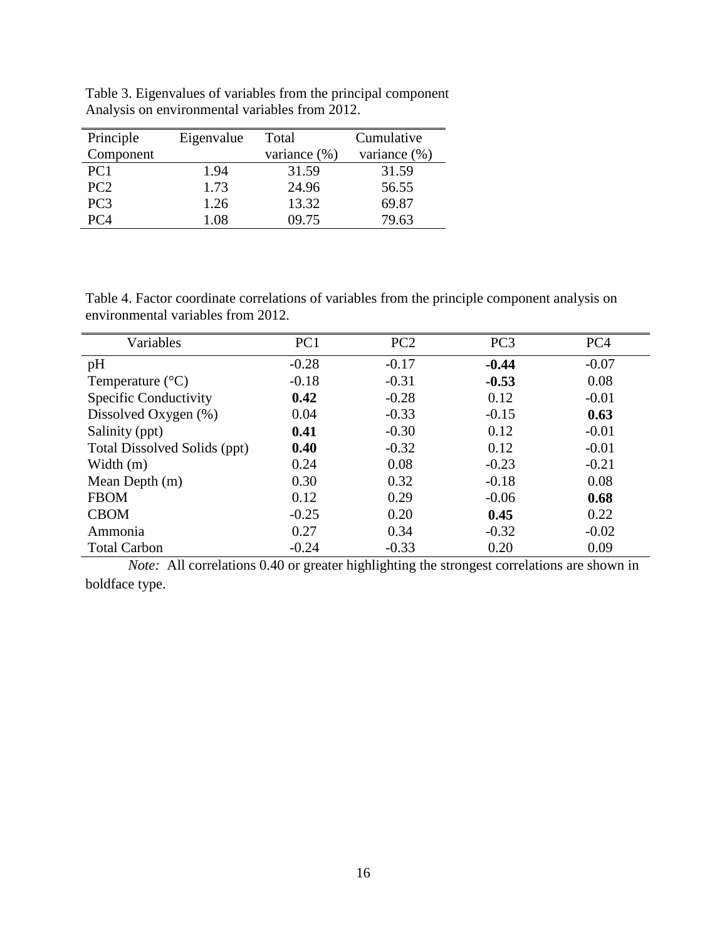| Principle       | Eigenvalue | Total        | Cumulative   |
|-----------------|------------|--------------|--------------|
| Component       |            | variance (%) | variance (%) |
| PC <sub>1</sub> | 1.94       | 31.59        | 31.59        |
| PC <sub>2</sub> | 1.73       | 24.96        | 56.55        |
| PC <sub>3</sub> | 1.26       | 13.32        | 69.87        |
| PC 4            | 1.08       | 09.75        | 79.63        |

Table 3. Eigenvalues of variables from the principal component Analysis on environmental variables from 2012.

Table 4. Factor coordinate correlations of variables from the principle component analysis on environmental variables from 2012.

| Variables                    | PC <sub>1</sub> | PC <sub>2</sub> | PC <sub>3</sub> | PC <sub>4</sub> |
|------------------------------|-----------------|-----------------|-----------------|-----------------|
| pH                           | $-0.28$         | $-0.17$         | $-0.44$         | $-0.07$         |
| Temperature $(^{\circ}C)$    | $-0.18$         | $-0.31$         | $-0.53$         | 0.08            |
| <b>Specific Conductivity</b> | 0.42            | $-0.28$         | 0.12            | $-0.01$         |
| Dissolved Oxygen (%)         | 0.04            | $-0.33$         | $-0.15$         | 0.63            |
| Salinity (ppt)               | 0.41            | $-0.30$         | 0.12            | $-0.01$         |
| Total Dissolved Solids (ppt) | 0.40            | $-0.32$         | 0.12            | $-0.01$         |
| Width $(m)$                  | 0.24            | 0.08            | $-0.23$         | $-0.21$         |
| Mean Depth (m)               | 0.30            | 0.32            | $-0.18$         | 0.08            |
| <b>FBOM</b>                  | 0.12            | 0.29            | $-0.06$         | 0.68            |
| <b>CBOM</b>                  | $-0.25$         | 0.20            | 0.45            | 0.22            |
| Ammonia                      | 0.27            | 0.34            | $-0.32$         | $-0.02$         |
| <b>Total Carbon</b>          | $-0.24$         | $-0.33$         | 0.20            | 0.09            |

*Note:* All correlations 0.40 or greater highlighting the strongest correlations are shown in boldface type.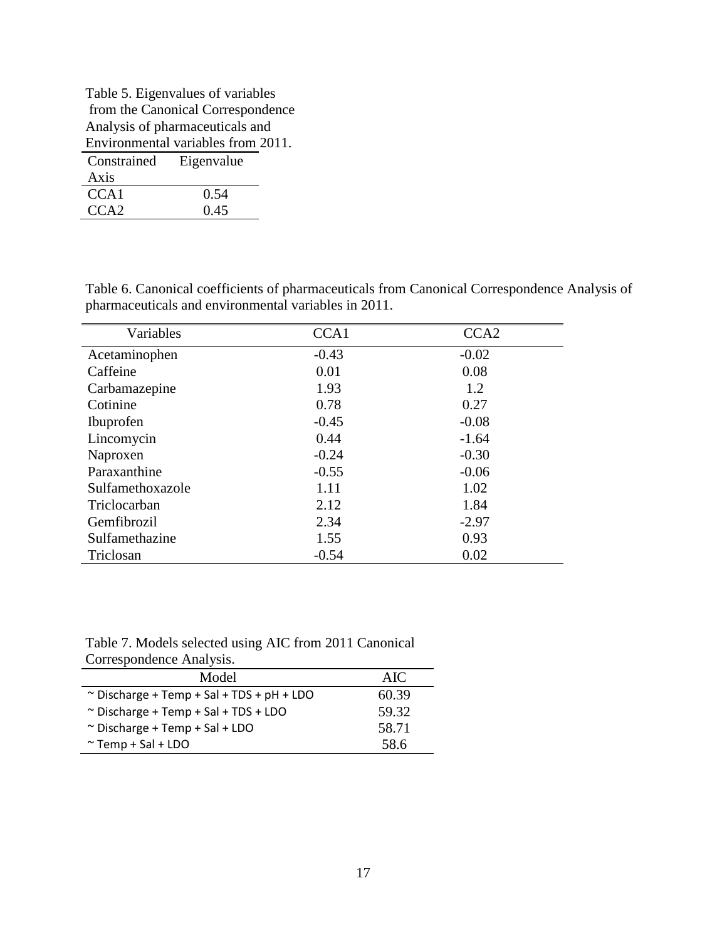| Table 5. Eigenvalues of variables |                                    |  |  |
|-----------------------------------|------------------------------------|--|--|
|                                   | from the Canonical Correspondence  |  |  |
|                                   | Analysis of pharmaceuticals and    |  |  |
|                                   | Environmental variables from 2011. |  |  |
| Constrained Eigenvalue            |                                    |  |  |
| Axis                              |                                    |  |  |
| CCA <sub>1</sub>                  | 0.54                               |  |  |
| CCA2                              | 0.45                               |  |  |

| Table 6. Canonical coefficients of pharmaceuticals from Canonical Correspondence Analysis of |
|----------------------------------------------------------------------------------------------|
| pharmaceuticals and environmental variables in 2011.                                         |

| Variables        | CCA <sub>1</sub> | CCA <sub>2</sub> |
|------------------|------------------|------------------|
| Acetaminophen    | $-0.43$          | $-0.02$          |
| Caffeine         | 0.01             | 0.08             |
| Carbamazepine    | 1.93             | 1.2              |
| Cotinine         | 0.78             | 0.27             |
| <b>Ibuprofen</b> | $-0.45$          | $-0.08$          |
| Lincomycin       | 0.44             | $-1.64$          |
| Naproxen         | $-0.24$          | $-0.30$          |
| Paraxanthine     | $-0.55$          | $-0.06$          |
| Sulfamethoxazole | 1.11             | 1.02             |
| Triclocarban     | 2.12             | 1.84             |
| Gemfibrozil      | 2.34             | $-2.97$          |
| Sulfamethazine   | 1.55             | 0.93             |
| Triclosan        | $-0.54$          | 0.02             |

Table 7. Models selected using AIC from 2011 Canonical Correspondence Analysis.

| Model                                          | AIC   |
|------------------------------------------------|-------|
| $\sim$ Discharge + Temp + Sal + TDS + pH + LDO | 60.39 |
| $\sim$ Discharge + Temp + Sal + TDS + LDO      | 59.32 |
| $\sim$ Discharge + Temp + Sal + LDO            | 58.71 |
| $\sim$ Temp + Sal + LDO                        | 58.6  |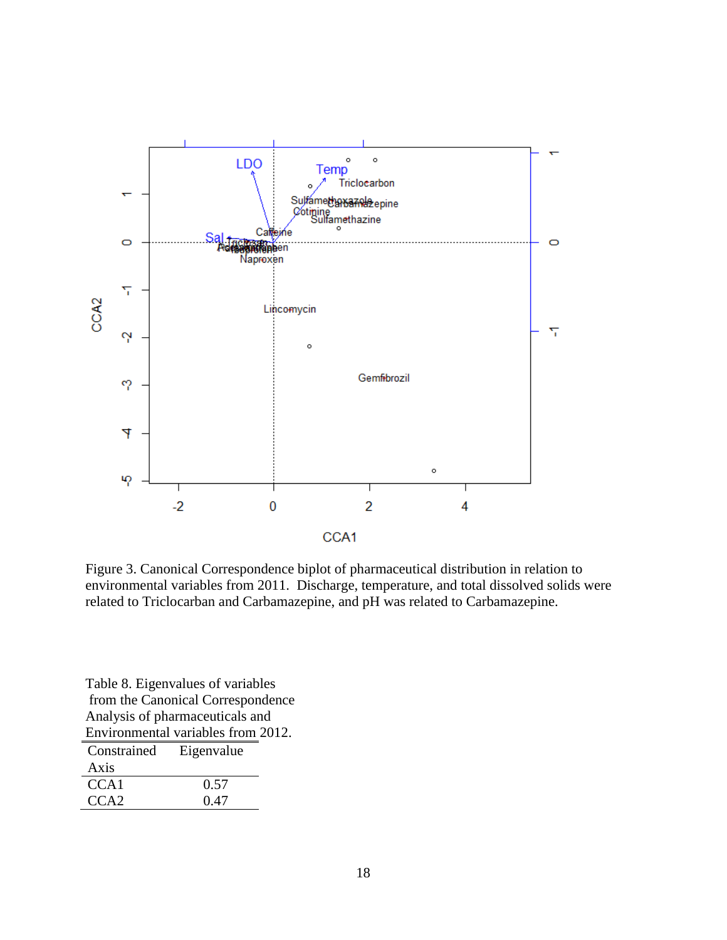

Figure 3. Canonical Correspondence biplot of pharmaceutical distribution in relation to environmental variables from 2011. Discharge, temperature, and total dissolved solids were related to Triclocarban and Carbamazepine, and pH was related to Carbamazepine.

Table 8. Eigenvalues of variables from the Canonical Correspondence Analysis of pharmaceuticals and Environmental variables from 2012.

| Constrained      | Eigenvalue |
|------------------|------------|
| Axis             |            |
| CCA <sub>1</sub> | 0.57       |
| CCA <sub>2</sub> | 0.47       |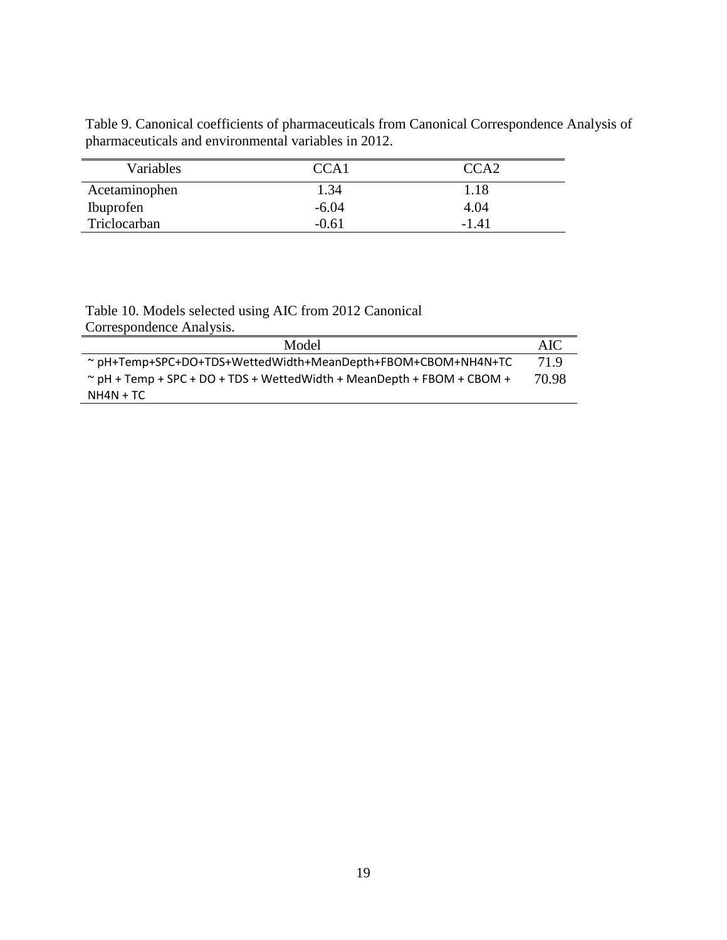Table 9. Canonical coefficients of pharmaceuticals from Canonical Correspondence Analysis of pharmaceuticals and environmental variables in 2012.

| Variables     | CCA <sub>1</sub> | CCA <sub>2</sub> |
|---------------|------------------|------------------|
| Acetaminophen | 1.34             | 1.18             |
| Ibuprofen     | $-6.04$          | 4.04             |
| Triclocarban  | $-0.61$          | $-1.41$          |

Table 10. Models selected using AIC from 2012 Canonical Correspondence Analysis.

| Model                                                                        | -AIC  |
|------------------------------------------------------------------------------|-------|
| $\sim$ pH+Temp+SPC+DO+TDS+WettedWidth+MeanDepth+FBOM+CBOM+NH4N+TC            | 71.9  |
| $\sim$ pH + Temp + SPC + DO + TDS + Wetted Width + MeanDepth + FBOM + CBOM + | 70.98 |
| NH4N + TC                                                                    |       |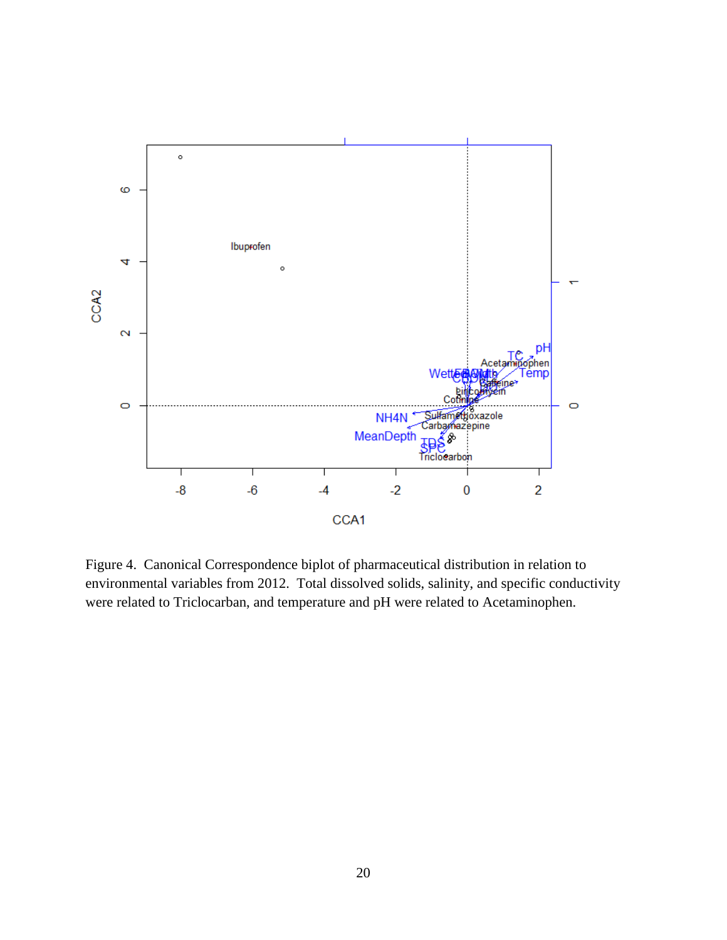

Figure 4. Canonical Correspondence biplot of pharmaceutical distribution in relation to environmental variables from 2012. Total dissolved solids, salinity, and specific conductivity were related to Triclocarban, and temperature and pH were related to Acetaminophen.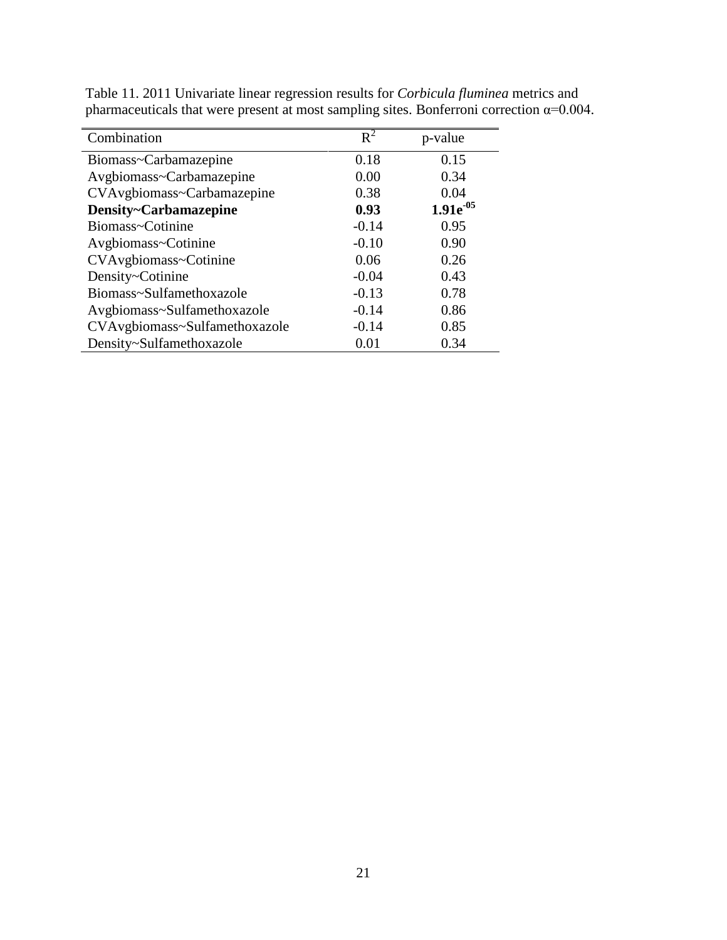| Combination                   | $R^2$   |                |
|-------------------------------|---------|----------------|
|                               |         | p-value        |
| Biomass~Carbamazepine         | 0.18    | 0.15           |
| Avgbiomass~Carbamazepine      | 0.00    | 0.34           |
| CVAvgbiomass~Carbamazepine    | 0.38    | 0.04           |
| Density~Carbamazepine         | 0.93    | $1.91e^{-0.5}$ |
| Biomass~Cotinine              | $-0.14$ | 0.95           |
| Avgbiomass~Cotinine           | $-0.10$ | 0.90           |
| CVAvgbiomass~Cotinine         | 0.06    | 0.26           |
| Density~Cotinine              | $-0.04$ | 0.43           |
| Biomass~Sulfamethoxazole      | $-0.13$ | 0.78           |
| Avgbiomass~Sulfamethoxazole   | $-0.14$ | 0.86           |
| CVAvgbiomass~Sulfamethoxazole | $-0.14$ | 0.85           |
| Density~Sulfamethoxazole      | 0.01    | 0.34           |

Table 11. 2011 Univariate linear regression results for *Corbicula fluminea* metrics and pharmaceuticals that were present at most sampling sites. Bonferroni correction  $\alpha$ =0.004.